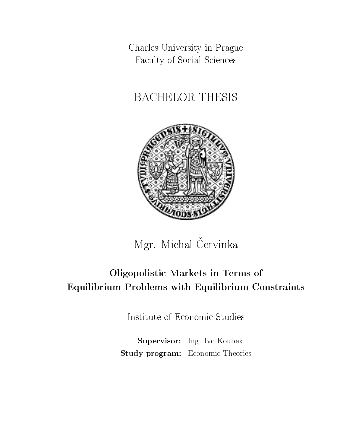Charles University in Prague Faculty of Social Sciences

## **BACHELOR THESIS**



Mgr. Michal Červinka

# Oligopolistic Markets in Terms of Equilibrium Problems with Equilibrium Constraints

Institute of Economic Studies

Supervisor: Ing. Ivo Koubek Study program: Economic Theories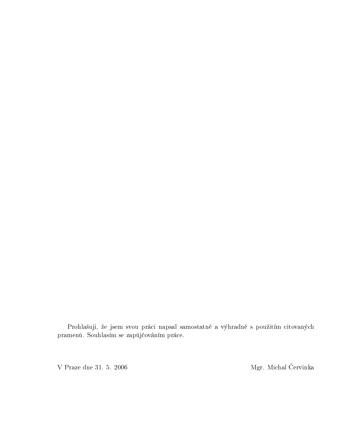Prohlašuji, že jsem svou práci napsal samostatně a výhradně s použitím citovaných pramenů. Souhlasím se zapůjčováním práce.

V Praze dne 31. 5. 2006

Mgr. Michal Červinka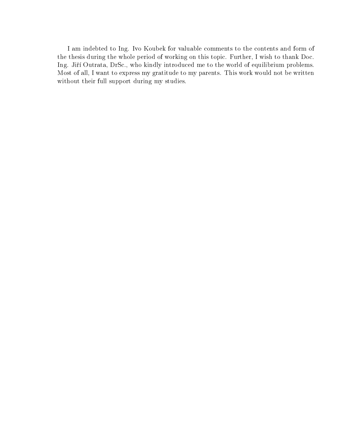I am indebted to Ing. Ivo Koubek for valuable comments to the contents and form of the thesis during the whole period of working on this topic. Further, I wish to thank Doc. Ing. Jiří Outrata, DrSc., who kindly introduced me to the world of equilibrium problems. Most of all, I want to express my gratitude to my parents. This work would not be written without their full support during my studies.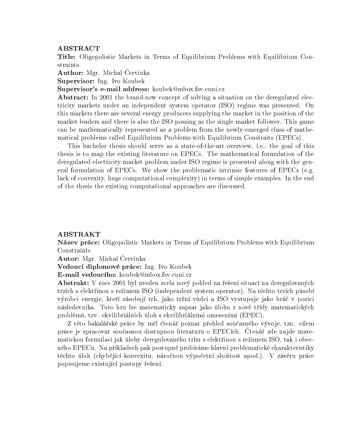### ABSTRACT

Title: Oligopolistic Markets in Terms of Equilibrium Problems with Equilibrium Constraints

**Author:** Mgr. Michal Cervinka

**Supervisor:** Ing. Ivo Koubek

Supervisor's e-mail address: koubek@mbox.fsv.cuni.cz

**Abstract:** In 2001 the brand-new concept of solving a situation on the deregulated electricity markets under an independent system operator (ISO) regime was presented. On this markets there are several energy producers supplying the market in the position of the market leaders and there is also the ISO possing as the single market follower. This game can be mathematically represented as a problem from the newly-emerged class of mathematical problems called Equilibrium Problems with Equilibrium Constraits (EPECs).

This bachelor thesis should serve as a state-of-the-art overview, i.e., the goal of this thesis is to map the existing literature on EPECs. The mathematical formulation of the deregulated electricity market problem under ISO regime is presented along with the general formulation of EPECs. We show the problematic intrinsic features of EPECs (e.g. lack of convexity, huge computational complexity) in terms of simple examples. In the end of the thesis the existing computational approaches are discussed.

### **ABSTRAKT**

**Název práce:** Oligopolistic Markets in Terms of Equilibrium Problems with Equilibrium Constraints

Autor: Mgr. Michal Cervinka

Vedoucí diplomové práce: Ing. Ivo Koubek

E-mail vedouciho: koubek@mbox.fsv.cuni.cz

Abstrakt: V roce 2001 byl uveden zcela nový pohled na řešení situací na deregulovaných trzích s elektřinou s režimem ISO (independent system operator). Na těchto trzích působí výrobci energie, kteří zásobují trh, jako tržní vůdci a ISO vystupuje jako hráč v pozici následovníka. Tuto hru lze matematicky zapsat jako úlohu z nové třídy matematických problémů, tzv. ekvilibriálních úloh s ekvilibriálními omezeními (EPEC).

Z této bakalářské práce by měl čtenář poznat přehled současného vývoje, tzn. cílem práce je zpracovat současnou dostupnou literaturu o EPECích. Ctenář zde najde matematickou formulaci jak úlohy deregulovaného trhu s elektřinou s režimem ISO, tak i obecného EPECu. Na příkladech pak postupně probíráme hlavní problematické charakteristiky těchto úloh (chybějící konvexitu, náročnou výpočetní složitost apod.). V závěru práce popisujeme existující postupy řešení.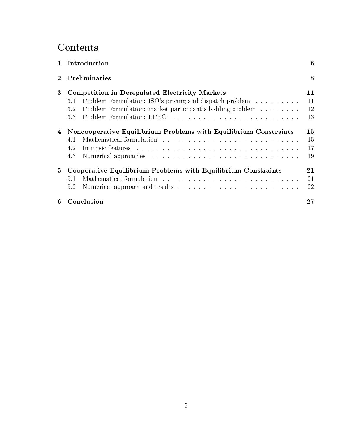## Contents

|                | 1 Introduction                                                                                                                                                                                                                                                                                                          | 6                    |
|----------------|-------------------------------------------------------------------------------------------------------------------------------------------------------------------------------------------------------------------------------------------------------------------------------------------------------------------------|----------------------|
|                | 2 Preliminaries                                                                                                                                                                                                                                                                                                         | 8                    |
| 3              | <b>Competition in Deregulated Electricity Markets</b><br>Problem Formulation: ISO's pricing and dispatch problem<br>3.1<br>Problem Formulation: market participant's bidding problem<br>3.2<br>3.3                                                                                                                      | 11<br>11<br>12<br>13 |
| $\overline{4}$ | Noncooperative Equilibrium Problems with Equilibrium Constraints<br>4.1<br>4.2<br>Numerical approaches resources in the contract of the set of the set of the set of the set of the set of the set of the set of the set of the set of the set of the set of the set of the set of the set of the set of the set<br>4.3 | 15<br>15<br>17<br>19 |
| 5              | Cooperative Equilibrium Problems with Equilibrium Constraints<br>5.1<br>5.2                                                                                                                                                                                                                                             | 21<br>21<br>22       |
| 6              | Conclusion                                                                                                                                                                                                                                                                                                              | 27                   |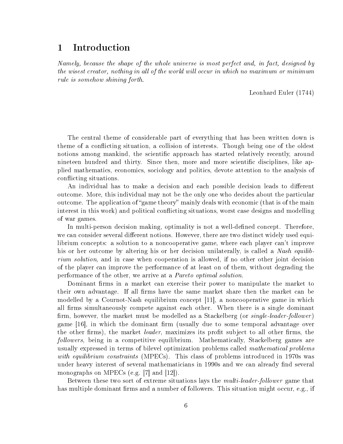#### Introduction  $\mathbf 1$

Namely, because the shape of the whole universe is most perfect and, in fact, designed by the wisest creator, nothing in all of the world will occur in which no maximum or minimum rule is somehow shining forth.

Leonhard Euler (1744)

The central theme of considerable part of everything that has been written down is theme of a conflicting situation, a collision of interests. Though being one of the oldest notions among mankind, the scientific approach has started relatively recently, around nineteen hundred and thirty. Since then, more and more scientific disciplines, like applied mathematics, economics, sociology and politics, devote attention to the analysis of conflicting situations.

An individual has to make a decision and each possible decision leads to different outcome. More, this individual may not be the only one who decides about the particular outcome. The application of "game theory" mainly deals with economic (that is of the main interest in this work) and political conflicting situations, worst case designs and modelling of war games.

In multi-person decision making, optimality is not a well-defined concept. Therefore, we can consider several different notions. However, there are two distinct widely used equilibrium concepts: a solution to a noncooperative game, where each player can't improve his or her outcome by altering his or her decision unilaterally, is called a *Nash equilibrium solution*, and in case when cooperation is allowed, if no other other joint decision of the player can improve the performance of at least on of them, without degrading the performance of the other, we arrive at a *Pareto optimal solution*.

Dominant firms in a market can exercise their power to manipulate the market to their own advantage. If all firms have the same market share then the market can be modelled by a Cournot-Nash equilibrium concept [11], a noncooperative game in which all firms simultaneously compete against each other. When there is a single dominant firm, however, the market must be modelled as a Stackelberg (or *single-leader-follower*) game [16], in which the dominant firm (usually due to some temporal advantage over the other firms), the market *leader*, maximizes its profit subject to all other firms, the *followers*, being in a competitive equilibrium. Mathematically, Stackelberg games are usually expressed in terms of bilevel optimization problems called mathematical problems with equilibrium constraints (MPECs). This class of problems introduced in 1970s was under heavy interest of several mathematicians in 1990s and we can already find several monographs on MPECs (e.g.  $[7]$  and  $[12]$ ).

Between these two sort of extreme situations lays the *multi-leader-follower* game that has multiple dominant firms and a number of followers. This situation might occur, e.g., if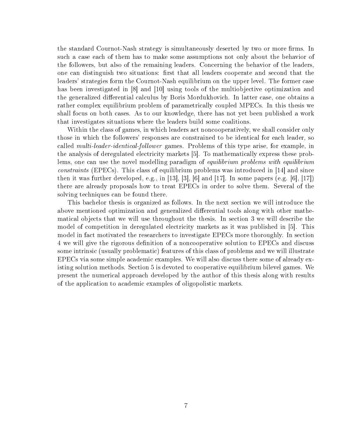the standard Cournot-Nash strategy is simultaneously deserted by two or more firms. In such a case each of them has to make some assumptions not only about the behavior of the followers, but also of the remaining leaders. Concerning the behavior of the leaders, one can distinguish two situations: first that all leaders cooperate and second that the leaders' strategies form the Cournot-Nash equilibrium on the upper level. The former case has been investigated in [8] and [10] using tools of the multiobjective optimization and the generalized differential calculus by Boris Mordukhovich. In latter case, one obtains a rather complex equilibrium problem of parametrically coupled MPECs. In this thesis we shall focus on both cases. As to our knowledge, there has not yet been published a work that investigates situations where the leaders build some coalitions.

Within the class of games, in which leaders act noncooperatively, we shall consider only those in which the followers' responses are constrained to be identical for each leader, so called *multi-leader-identical-follower* games. Problems of this type arise, for example, in the analysis of deregulated electricity markets [5]. To mathematically express these problems, one can use the novel modelling paradigm of *equilibrium problems with equilibrium constraints* (EPECs). This class of equilibrium problems was introduced in [14] and since then it was further developed, e.g., in [13], [3], [6] and [17]. In some papers (e.g. [6], [17]) there are already proposals how to treat EPECs in order to solve them. Several of the solving techniques can be found there.

This bachelor thesis is organized as follows. In the next section we will introduce the above mentioned optimization and generalized differential tools along with other mathematical objects that we will use throughout the thesis. In section 3 we will describe the model of competition in deregulated electricity markets as it was published in [5]. This model in fact motivated the researchers to investigate EPECs more thoroughly. In section 4 we will give the rigorous definition of a noncooperative solution to EPECs and discuss some intrinsic (usually problematic) features of this class of problems and we will illustrate EPECs via some simple academic examples. We will also discuss there some of already existing solution methods. Section 5 is devoted to cooperative equilibrium bilevel games. We present the numerical approach developed by the author of this thesis along with results of the application to academic examples of oligopolistic markets.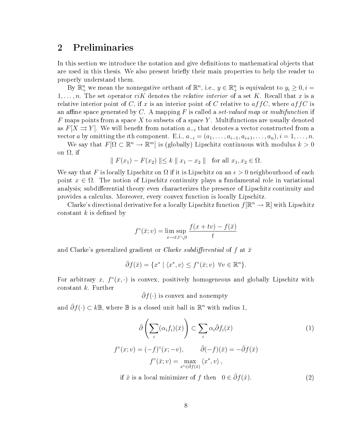### Preliminaries  $\overline{2}$

In this section we introduce the notation and give definitions to mathematical objects that are used in this thesis. We also present briefly their main properties to help the reader to properly understand them.

By  $\mathbb{R}^n_+$  we mean the nonnegative orthant of  $\mathbb{R}^n$ , i.e.,  $y \in \mathbb{R}^n_+$  is equivalent to  $y_i \geq 0, i =$  $1, \ldots, n$ . The set operator riK denotes the relative interior of a set K. Recall that x is a relative interior point of C, if x is an interior point of C relative to affC, where affC is an affine space generated by C. A mapping F is called a set-valued map or multifunction if  $F$  maps points from a space X to subsets of a space Y. Multifunctions are usually denoted as  $F[X \rightrightarrows Y]$ . We will benefit from notation  $a_{-i}$  that denotes a vector constructed from a vector a by omitting the *i*th component. E.i.,  $a_{-i} = (a_1, \ldots, a_{i-1}, a_{i+1}, \ldots, a_n), i = 1, \ldots, n$ .

We say that  $F[\Omega \subset \mathbb{R}^n \to \mathbb{R}^m]$  is (globally) Lipschitz continuous with modulus  $k > 0$ on  $\Omega$ , if

$$
|| F(x_1) - F(x_2) || \le k || x_1 - x_2 ||
$$
 for all  $x_1, x_2 \in \Omega$ .

We say that F is locally Lipschitz on  $\Omega$  if it is Lipschitz on an  $\epsilon > 0$  neighbourhood of each point  $x \in \Omega$ . The notion of Lipschitz continuity plays a fundamental role in variational analysis; subdifferential theory even characterizes the presence of Lipschitz continuity and provides a calculus. Moreover, every convex function is locally Lipschitz.

Clarke's directional derivative for a locally Lipschitz function  $f[\mathbb{R}^n \to \mathbb{R}]$  with Lipschitz constant  $k$  is defined by

$$
f^{\circ}(\bar{x}; v) = \lim_{x \to \bar{x}, t \searrow 0} \frac{f(x + tv) - f(\bar{x})}{t}
$$

and Clarke's generalized gradient or *Clarke subdifferential* of f at  $\bar{x}$ 

$$
\bar{\partial}f(\bar{x}) = \{x^* \mid \langle x^*, v \rangle \le f^\circ(\bar{x}; v) \ \forall v \in \mathbb{R}^n\}.
$$

For arbitrary x,  $f^{\circ}(x, \cdot)$  is convex, positively homogeneous and globally Lipschitz with constant  $k$ . Further

 $\bar{\partial}f(\cdot)$  is convex and nonempty

and  $\bar{\partial}f(\cdot) \subset k\mathbb{B}$ , where  $\mathbb B$  is a closed unit ball in  $\mathbb{R}^n$  with radius 1.

 $f^{\circ}$ 

$$
\bar{\partial}\left(\sum_{i}(\alpha_{i}f_{i})(\bar{x})\right) \subset \sum_{i}\alpha_{i}\bar{\partial}f_{i}(\bar{x})
$$
\n
$$
(x; v) = (-f)^{\circ}(x; -v), \qquad \bar{\partial}(-f)(\bar{x}) = -\bar{\partial}f(\bar{x})
$$
\n
$$
f^{\circ}(\bar{x}; v) = \max_{x^{*} \in \bar{\partial}f(\bar{x})} \langle x^{*}, v \rangle,
$$
\n(1)

if  $\hat{x}$  is a local minimizer of f then  $0 \in \bar{\partial} f(\hat{x})$ .  $(2)$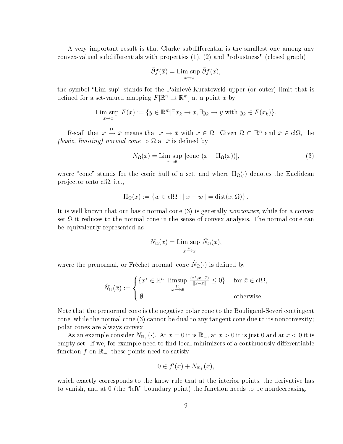A very important result is that Clarke subdifferential is the smallest one among any convex-valued subdifferentials with properties (1), (2) and "robustness" (closed graph) =

$$
\bar{\partial}f(\bar{x}) = \limsup_{x \to \bar{x}} \bar{\partial}f(x),
$$

+ MHz → MHz → MHz → MHz → MHz → MHz → MHz → MHz → MHz → MHz → MHz → MHz → MHz → MHz → MHz → MHz → MHz → MHz → MHz → MHz → MHz → MHz → MHz → MHz → MHz → MHz → MHz → MHz → MHz → MHz → MHz → MHz → MHz → MHz → MHz → MHz → MHz J -- : ng  $F[\mathbb{R}^n \rightrightarrows \mathbb{R}^m]$  at a point  $\bar{x}$  by nt  $\bar{x}$  by

$$
\limsup_{x \to \bar{x}} F(x) := \{ y \in \mathbb{R}^m | \exists x_k \to x, \exists y_k \to y \text{ with } y_k \in F(x_k) \}.
$$

(basic, limiting) normal cone to  $\Omega$  at  $\bar{x}$  is defined by  $\frac{\Omega}{\longrightarrow} \bar{x}$  means that  $x \to \bar{x}$  with  $x \in \Omega$ . Given  $\Omega \subset \mathbb{R}^n$  and  $\bar{x} \in \text{cl}\Omega$ , the *l* cone to  $\Omega$  at  $\bar{x}$  is defined by Jan Andrea (1986) – a stationer and the station of the station of the station of the station of the stationary

$$
N_{\Omega}(\bar{x}) = \limsup_{x \to \bar{x}} \text{ [cone } (x - \Pi_{\Omega}(x))],\tag{3}
$$

where "cone" stands for the conic hull of a set, and where  $\Pi_{\Omega}(\cdot)$  denotes the Euclidean - 
onto clΩ, i.e., 

$$
\Pi_{\Omega}(x) := \{ w \in \text{cl}\Omega \mid \parallel x - w \parallel = \text{dist}(x, \Omega) \}.
$$

It is well known that our basic normal cone  $(\beta)$  is generally  $\emph{nonconvex},$  while for a convex set  $\Omega$  it reduces to the normal cone in the sense of convex analysis. The normal cone can + 5 4 --

$$
N_{\Omega}(\bar{x}) = \limsup_{x \to \bar{x}} \hat{N}_{\Omega}(x),
$$

 $\Delta E \sim 1$ mal, cone  $\hat{N}_{\Omega}(\cdot)$  is defined by Julie 1986, and the contract of the contract of the contract of the contract of the contract of the contract of

$$
\hat{N}_{\Omega}(\bar{x}) := \begin{cases} \{x^* \in \mathbb{R}^n | \limsup_{x \to \bar{x}} \frac{\langle x^*, x - \bar{x} \rangle}{\|x - \bar{x}\|} \le 0 \} & \text{for } \bar{x} \in \text{cl}\Omega, \\ \emptyset & \text{otherwise.} \end{cases}
$$

Note that the prenormal cone is the negative polar cone to the Bouligand-Severi contingent ngent i mandan kang taun 1970.<br>''' cone, while the normal cone (3) cannot be dual to any tangent cone due to its nonconvexity;  $\;$  $\mathbf{u} = \mathbf{u} \cdot \mathbf{v}$ - - .4 6

K 6 - $N_{\mathbb{R}_+}(\cdot)$ . At  $x = 0$  it is  $\mathbb{R}_-$ , at  $x > 0$  it is just 0 and at  $x < 0$  it is ,一个人的人都是一个人的人,但是,我们的人都是一个人的人,我们的人都是一个人的人,我们的人都是一个人的人,我们的人都是一个人的人,我们的人都是一个人的人,我们的  $\mathbb{R}_{-}$ , at  $x > 0$  it is just 0 and at  $x < 0$  it is<br>minimizers of a continuously differentiable s just 0 and at  $x < 0$  it is<br>nationally differentiable 4 \*- . --6 J - - 4 L
 on  $f$  on  $\mathbb{R}_+$ , these points need to satisfy and the contract of the contract of the contract of the contract of the contract of the contract of the contract of

$$
0 \in f'(x) + N_{\mathbb{R}_+}(x),
$$

. 64 -- ). - - - - \$ < M
-N +-4 = - + ng.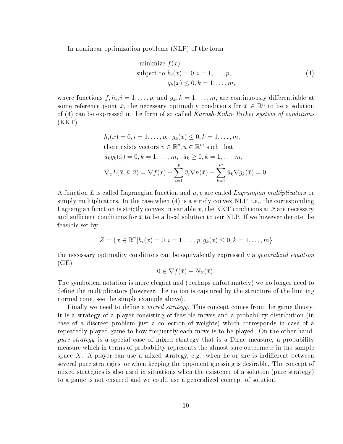In nonlinear optimization problems (NLP) of the form

minimize 
$$
f(x)
$$
  
subject to  $h_i(x) = 0, i = 1, ..., p$ ,  
 $g_k(x) \le 0, k = 1, ..., m$ , (4)

where functions  $f, h_i, i = 1, \ldots, p$ , and  $g_k, k = 1, \ldots, m$ , are continuously differentiable at some reference point  $\bar{x}$ , the necessary optimality conditions for  $\bar{x} \in \mathbb{R}^n$  to be a solution of (4) can be expressed in the form of so called Karush-Kuhn-Tucker system of conditions  $(KKT)$ 

$$
h_i(\bar{x}) = 0, i = 1, \dots, p, \ g_k(\bar{x}) \le 0, k = 1, \dots, m,
$$
  
there exists vectors  $\bar{v} \in \mathbb{R}^p, \bar{u} \in \mathbb{R}^m$  such that  
 $\bar{u}_k g_k(\bar{x}) = 0, k = 1, \dots, m, \ \bar{u}_k \ge 0, k = 1, \dots, m,$   
 $\nabla_x L(\bar{x}, \bar{u}, \bar{v}) = \nabla f(x) + \sum_{i=1}^p \bar{v}_i \nabla h(\bar{x}) + \sum_{k=1}^m \bar{u}_k \nabla g_k(\bar{x}) = 0.$ 

A function L is called Lagrangian function and  $u, v$  are called Lagrangian multiplicators or simply multiplicators. In the case when  $(4)$  is a strictly convex NLP, i.e., the corresponding Lagrangian function is strictly convex in variable x, the KKT conditions at  $\bar{x}$  are necessary and sufficient conditions for  $\bar{x}$  to be a local solution to our NLP. If we however denote the feasible set by

$$
Z = \{x \in \mathbb{R}^n | h_i(x) = 0, i = 1, \dots, p, g_k(x) \le 0, k = 1, \dots, m\}
$$

the necessary optimality conditions can be equivalently expressed via *generalized equation*  $(GE)$ 

$$
0 \in \nabla f(\bar{x}) + N_Z(\bar{x}).
$$

The symbolical notation is more elegant and (perhaps unfortunately) we no longer need to define the multiplicators (however, the notion is captured by the structure of the limiting normal cone, see the simple example above).

Finally we need to define a *mixed strategy*. This concept comes from the game theory. It is a strategy of a player consisting of feasible moves and a probability distribution (in case of a discreet problem just a collection of weights) which corresponds in case of a repeatedly played game to how frequently each move is to be played. On the other hand, *pure strategy* is a special case of mixed strategy that is a Dirac measure, a probability measure which in terms of probability represents the almost sure outcome  $x$  in the sample space X. A player can use a mixed strategy, e.g., when he or she is indifferent between several pure strategies, or when keeping the opponent guessing is desirable. The concept of mixed strategies is also used in situations when the existence of a solution (pure strategy) to a game is not ensured and we could use a generalized concept of solution.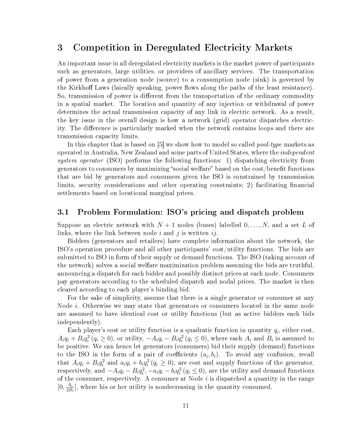#### 3 **Competition in Deregulated Electricity Markets**

An important issue in all deregulated electricity markets is the market power of participants such as generators, large utilities, or providers of ancillary services. The transportation of power from a generation node (source) to a consumption node (sink) is governed by the Kirkhoff Laws (laically speaking, power flows along the paths of the least resistance). So, transmission of power is different from the transportation of the ordinary commodity in a spatial market. The location and quantity of any injection or withdrawal of power determines the actual transmission capacity of any link in electric network. As a result, the key issue in the overall design is how a network (grid) operator dispatches electricity. The difference is particularly marked when the network contains loops and there are transmission capacity limits.

In this chapter that is based on  $|5|$  we show how to model so called *pool-type* markets as operated in Australia, New Zealand and some parts of United States, where the *independent system operator* (ISO) performs the following functions: 1) dispatching electricity from generators to consumers by maximizing "social welfare" based on the cost/benefit functions that are bid by generators and consumers given the ISO is constrained by transmission limits, security considerations and other operating constraints; 2) facilitating financial settlements based on locational marginal prices.

#### 3.1 Problem Formulation: ISO's pricing and dispatch problem

Suppose an electric network with  $N+1$  nodes (buses) labelled  $0, \ldots, N$ , and a set L of links, where the link between node i and j is written  $ij$ .

Bidders (generators and retailers) have complete information about the network, the ISO's operation procedure and all other participants' cost/utility functions. The bids are submitted to ISO in form of their supply or demand functions. The ISO (taking account of the network) solves a social welfare maximization problem assuming the bids are truthful, announcing a dispatch for each bidder and possibly distinct prices at each node. Consumers pay generators according to the scheduled dispatch and nodal prices. The market is then cleared according to each player's binding bid.

For the sake of simplicity, assume that there is a single generator or consumer at any Node *i*. Otherwise we may state that generators or consumers located in the same node are assumed to have identical cost or utility functions (but as active bidders each bids independently).

Each player's cost or utility function is a quadratic function in quantity  $q_i$ , either cost,  $A_i q_i + B_i q_i^2 (q_i \ge 0)$ , or utility,  $-A_i q_i - B_i q_i^2 (q_i \le 0)$ , where each  $A_i$  and  $B_i$  is assumed to be positive. We can hence let generators (consumers) bid their supply (demand) functions to the ISO in the form of a pair of coefficients  $(a_i, b_i)$ . To avoid any confusion, recall that  $A_i q_i + B_i q_i^2$  and  $a_i q_i + b_i q_i^2 (q_i \ge 0)$ , are cost and supply functions of the generator, respectively, and  $-A_iq_i - B_iq_i^2$ ,  $-a_iq_i - b_iq_i^2$   $(q_i \leq 0)$ , are the utility and demand functions of the consumer, respectively. A consumer at Node  $i$  is dispatched a quantity in the range  $[0, \frac{A_i}{2B_i}]$ , where his or her utility is nondecreasing in the quantity consumed.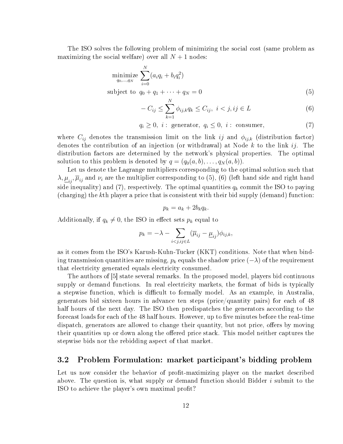The ISO solves the following problem of minimizing the social cost (same problem as maximizing the social welfare) over all  $N+1$  nodes:

minimize 
$$
\sum_{q_0, ..., q_N}^{N} (a_i q_i + b_i q_i^2)
$$
  
subject to  $q_0 + q_1 + \dots + q_N = 0$  (5)

$$
-C_{ij} \le \sum_{k=1}^{N} \phi_{ij,k} q_k \le C_{ij}, \ i < j, ij \in L
$$
 (6)

$$
q_i \ge 0, \ i: \ \text{generator}, \ q_i \le 0, \ i: \ \text{consumer}, \tag{7}
$$

where  $C_{ij}$  denotes the transmission limit on the link ij and  $\phi_{ij,k}$  (distribution factor) denotes the contribution of an injection (or withdrawal) at Node  $k$  to the link ij. The distribution factors are determined by the network's physical properties. The optimal solution to this problem is denoted by  $q = (q_0(a, b), \ldots, q_N(a, b)).$ 

Let us denote the Lagrange multipliers corresponding to the optimal solution such that  $\lambda, \mu_{ij}, \overline{\mu}_{ij}$  and  $\nu_i$  are the multiplier corresponding to (5), (6) (left hand side and right hand side inequality) and (7), respectively. The optimal quantities  $q_k$  commit the ISO to paying (charging) the kth player a price that is consistent with their bid supply (demand) function:

$$
p_k = a_k + 2b_k q_k.
$$

Additionally, if  $q_k \neq 0$ , the ISO in effect sets  $p_k$  equal to

$$
p_k = -\lambda - \sum_{i < j, ij \in L} (\overline{\mu}_{ij} - \underline{\mu}_{ij}) \phi_{ij,k},
$$

as it comes from the ISO's Karush-Kuhn-Tucker (KKT) conditions. Note that when binding transmission quantities are missing,  $p_k$  equals the shadow price  $(-\lambda)$  of the requirement that electricity generated equals electricity consumed.

The authors of [5] state several remarks. In the proposed model, players bid continuous supply or demand functions. In real electricity markets, the format of bids is typically a stepwise function, which is difficult to formally model. As an example, in Australia, generators bid sixteen hours in advance ten steps (price/quantity pairs) for each of 48 half hours of the next day. The ISO then predispatches the generators according to the forecast loads for each of the 48 half hours. However, up to five minutes before the real-time dispatch, generators are allowed to change their quantity, but not price, offers by moving their quantities up or down along the offered price stack. This model neither captures the stepwise bids nor the rebidding aspect of that market.

#### Problem Formulation: market participant's bidding problem  $\rm 3.2$

Let us now consider the behavior of profit-maximizing player on the market described above. The question is, what supply or demand function should Bidder i submit to the ISO to achieve the player's own maximal profit?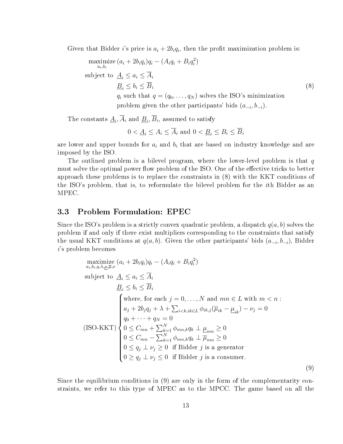$\mathcal{L}_{\mathbf{y}}(x)$  and  $\mathcal{L}_{\mathbf{y}}(x)$  is the  $\mathcal{L}_{\mathbf{y}}(x)$  and  $\mathcal{L}_{\mathbf{y}}(x)$  is the continuous function of  $\mathbf{y}$ is  $a_i + 2b_iq_i$ , then the profit maximization problem is: J 6 -

$$
\begin{aligned}\n\text{maximize } (a_i + 2b_i q_i)q_i - (A_i q_i + B_i q_i^2) \\
\text{subject to } \underline{A}_i &\le a_i \le \overline{A}_i \\
\underline{B}_i &\le b_i \le \overline{B}_i \\
q_i \text{ such that } q = (q_0, \dots, q_N) \text{ solves the ISO's minimization} \\
\text{problem given the other participants' bids } (a_{-i}, b_{-i}).\n\end{aligned} \tag{8}
$$

The constants  $\underline{A}_i$ ,  $\overline{A}_i$  and  $\underline{B}_i$ ,  $\overline{B}_i$ , assumed to satisfy  $-4$  -4  $-4$  -4  $-4$  -4  $-4$  -4  $-4$  -4  $-4$  -4  $-4$  -4  $-4$  -4  $-4$  -4  $-4$  -4  $-4$  -4  $-4$  -4  $-4$  -4  $-4$  -4  $-4$  -4  $-4$  -4  $-4$  -4  $-4$  -4  $-4$  -4  $-4$  -4  $-4$  -4  $-4$  -4  $-4$  -4  $-4$  -4  $-4$  -4  $-4$  -4  $-4$  -4  $-4$ 

 $0 < \underline{A}_i \leq A_i \leq \overline{A}_i$  and  $0 < \underline{B}_i \leq B_i \leq \overline{B}_i$ 

are lower and upper bounds for  $a_i$  and  $b_i$  that are based on industry knowledge and are<br>imposed by the ISO +4 \*3

The outlined problem is a bilevel program, where the lower-level problem is that  $q$ the contract of the contract of the contract of the contract of the contract of the contract of the contract o  $\alpha$  better .
-I. -+ - \*3 3 - L - - -+ - - <S= . ,,7 \*3D -+ --- + -+ ---

 \*3D -+ - 4 6 5- -+ spatch  $q(a, b)$  solves the<br>constraints that satisfy problem it and only it there exist multipliers corresponding to the constraints that satisfy -4 ,,7 ons at  $q(a, b)$ . Given the other participants' bids  $(a_{-i}, b_{-i})$ , Bidder -- D + ds  $(a_{-i}, b_{-i})$ , Bidder  $\Gamma$ 

maximize 
$$
(a_i + 2b_iq_i)q_i - (A_iq_i + B_iq_i^2)
$$
  
\nsubject to  $\underline{A}_i \leq a_i \leq \overline{A}_i$   
\n $\underline{B}_i \leq b_i \leq \overline{B}_i$   
\nwhere, for each  $j = 0, ..., N$  and  $mn \in L$  with  $m < n$ :  
\n $a_j + 2b_jq_j + \lambda + \sum_{i < k, i k \in L} \phi_{ik,j}(\overline{\mu}_{ik} - \underline{\mu}_{ik}) - \nu_j = 0$   
\n(ISO-KKT)  
\n $\begin{cases}\na_0 + \cdots + a_N = 0 \\
0 \leq C_{mn} + \sum_{k=1}^N \phi_{mn,k}q_k \perp \underline{\mu}_{mn} \geq 0 \\
0 \leq C_{mn} - \sum_{k=1}^N \phi_{mn,k}q_k \perp \overline{\mu}_{mn} \geq 0 \\
0 \leq q_j \perp \nu_j \geq 0 \text{ if Bidder } j \text{ is a generator} \\
0 \geq q_j \perp \nu_j \leq 0 \text{ if Bidder } j \text{ is a consumer.}\n\end{cases}$ \n(9)

 $\sqrt{2}$ 

 $\mathbf{f} = \mathbf{f}$ 4 : straints, we refer to this type of MPEC as to the MPCC. The game based on all the  $\,$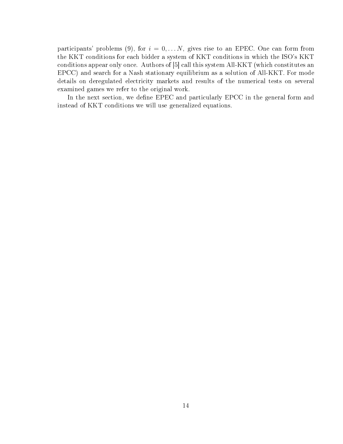participants' problems (9), for  $i = 0, \ldots N$ , gives rise to an EPEC. One can form from the KKT conditions for each bidder a system of KKT conditions in which the ISO's KKT conditions appear only once. Authors of [5] call this system All-KKT (which constitutes an EPCC) and search for a Nash stationary equilibrium as a solution of All-KKT. For mode details on deregulated electricity markets and results of the numerical tests on several examined games we refer to the original work.

In the next section, we define EPEC and particularly EPCC in the general form and instead of KKT conditions we will use generalized equations.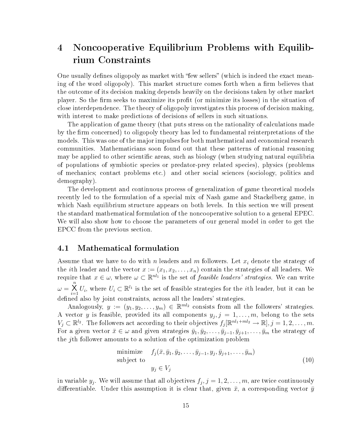### Noncooperative Equilibrium Problems with Equilib- $\overline{4}$ rium Constraints

One usually defines oligopoly as market with "few sellers" (which is indeed the exact meaning of the word oligopoly). This market structure comes forth when a firm believes that the outcome of its decision making depends heavily on the decisions taken by other market player. So the firm seeks to maximize its profit (or minimize its losses) in the situation of close interdependence. The theory of oligopoly investigates this process of decision making, with interest to make predictions of decisions of sellers in such situations.

The application of game theory (that puts stress on the rationality of calculations made by the firm concerned) to oligopoly theory has led to fundamental reinterpretations of the models. This was one of the major impulses for both mathematical and economical research communities. Mathematicians soon found out that these patterns of rational reasoning may be applied to other scientific areas, such as biology (when studying natural equilibria of populations of symbiotic species or predator-prey related species), physics (problems of mechanics; contact problems etc.) and other social sciences (sociology, politics and demography).

The development and continuous process of generalization of game theoretical models recently led to the formulation of a special mix of Nash game and Stackelberg game, in which Nash equilibrium structure appears on both levels. In this section we will present the standard mathematical formulation of the noncooperative solution to a general EPEC. We will also show how to choose the parameters of our general model in order to get the EPCC from the previous section.

#### 4.1 Mathematical formulation

Assume that we have to do with n leaders and m followers. Let  $x_i$  denote the strategy of the *i*th leader and the vector  $x := (x_1, x_2, \ldots, x_n)$  contain the strategies of all leaders. We require that  $x \in \omega$ , where  $\omega \subset \mathbb{R}^{nl_1}$  is the set of *feasible leaders' strategies*. We can write  $\omega = \sum_{i=1}^{n} U_i$ , where  $U_i \subset \mathbb{R}^{l_1}$  is the set of feasible strategies for the *i*th leader, but it can be defined also by joint constraints, across all the leaders' strategies.

Analogously,  $y := (y_1, y_2, \dots, y_m) \in \mathbb{R}^{ml_2}$  consists from all the followers' strategies. A vector y is feasible, provided its all components  $y_j, j = 1, \ldots, m$ , belong to the sets  $V_j \subset \mathbb{R}^{l_2}$ . The followers act according to their objectives  $f_j[\mathbb{R}^{nl_1+ml_2} \to \mathbb{R}], j = 1, 2, ..., m$ . For a given vector  $\bar{x} \in \omega$  and given strategies  $\bar{y}_1, \bar{y}_2, \ldots, \bar{y}_{j-1}, \bar{y}_{j+1}, \ldots, \bar{y}_m$  the strategy of the *j*th follower amounts to a solution of the optimization problem

minimize 
$$
f_j(\bar{x}, \bar{y}_1, \bar{y}_2, \dots, \bar{y}_{j-1}, y_j, \bar{y}_{j+1}, \dots, \bar{y}_m)
$$
  
subject to  

$$
y_j \in V_j
$$
 (10)

in variable  $y_j$ . We will assume that all objectives  $f_j$ ,  $j = 1, 2, ..., m$ , are twice continuously differentiable. Under this assumption it is clear that, given  $\bar{x}$ , a corresponding vector  $\bar{y}$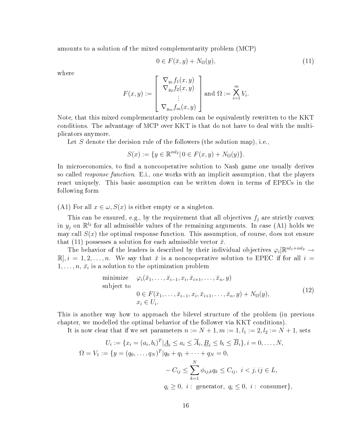- 6 - 4 -+ <&9=

$$
0 \in F(\bar{x}, y) + N_{\Omega}(y),\tag{11}
$$

where

$$
F(x,y) := \begin{bmatrix} \nabla_{y_1} f_1(x,y) \\ \nabla_{y_2} f_2(x,y) \\ \n\vdots \\ \nabla_{y_m} f_m(x,y) \end{bmatrix} \text{ and } \Omega := \sum_{i=1}^m V_i.
$$

? 6 - 4 -+ + 5 4 -. conditions. The advantage of MCP over KKT is that do not have to deal with the multi-  $\,$ - 4-

 $\begin{pmatrix} \frac{1}{2} & \frac{1}{2} & \frac{1}{2} & \frac{1}{2} & \frac{1}{2} & \frac{1}{2} & \frac{1}{2} & \frac{1}{2} & \frac{1}{2} & \frac{1}{2} & \frac{1}{2} & \frac{1}{2} & \frac{1}{2} & \frac{1}{2} & \frac{1}{2} & \frac{1}{2} & \frac{1}{2} & \frac{1}{2} & \frac{1}{2} & \frac{1}{2} & \frac{1}{2} & \frac{1}{2} & \frac{1}{2} & \frac{1}{2} & \frac{1}{2} & \frac{1}{2} & \frac{1}{2$  $\mathbf{r}$  and  $\mathbf{r}$  and  $\mathbf{r}$  and  $\mathbf{r}$  and  $\mathbf{r}$  and  $\mathbf{r}$  and  $\mathbf{r}$  and  $\mathbf{r}$  and  $\mathbf{r}$  and  $\mathbf{r}$  and  $\mathbf{r}$  and  $\mathbf{r}$  and  $\mathbf{r}$  and  $\mathbf{r}$  and  $\mathbf{r}$  and  $\mathbf{r}$  and  $\mathbf{r}$  and  $\blacksquare$  . The contract of the contract of the contract of the contract of the contract of the contract of the contract of the contract of the contract of the contract of the contract of the contract of the contract of the 

$$
S(x) := \{ y \in \mathbb{R}^{m!2} | \, 0 \in F(x, y) + N_{\Omega}(y) \}.
$$

In microeconomics, to find a noncooperative solution to Nash game one usually derives  8 .-) . 4
-- 5
4 7 + + .- . - - 889 following form  $\log$  form  $\log$ 

 $\blacksquare$  . The first contract of  $\blacksquare$  . The first contract of  $\blacksquare$ all  $x \in \omega$ ,  $S(x)$  is either empty or a singleton. -4 - '

This can be ensured, e.g., by the requirement that all objectives  $f_j$  are strictly convex<br>to on  $\mathbb{R}^{l_2}$  for all admissible values of the remaining arguments. In case (A1) holds we 4 6 n  $y_j$  on  $\mathbb{R}^{l_2}$  for all admissible values of the remaining arguments. In case (A1) holds we<br>nav call  $S(x)$  the optimal response function. This assumption, of course, does not ensure all admissible values of the remaining arguments. In case (A1) holds we may call  $S(x)$  the optimal response function. This assumption, of course, does not ensure<br>that (11) possesses a solution for each admissible vector  $\bar{x}$  - - 7 - - -<!!= -- + -

t (11) possesses a solution for each admissible vector  $\bar{x}$ .<br>The behavior of the leaders is described by their individual objectives  $\varphi_i[\mathbb{R}^{nl_1+ml_2} \to$ ves  $\varphi_i[\mathbb{R}^{nl_1+ml_2} \to$ <br>PEC if for all  $i =$  $\mathbb{R}, i = 1, 2, \ldots, n$ . We say that  $\bar{x}$  is a noncooperative solution to EPEC if for all  $i = 1, \ldots, n$ . We say that  $\bar{x}$  is a solution to the optimization problem - 889 - -all  $i =$  $1, \ldots, n, \bar{x_i}$  i en de la componentación de la componentación de la componentación de la componentación de la componentación de

minimize 
$$
\varphi_i(\bar{x}_1, \ldots, \bar{x}_{i-1}, x_i, \bar{x}_{i+1}, \ldots, \bar{x}_n, y)
$$
  
\nsubject to  
\n
$$
0 \in F(\bar{x}_1, \ldots, \bar{x}_{i-1}, x_i, \bar{x}_{i+1}, \ldots, \bar{x}_n, y) + N_{\Omega}(y),
$$
\n
$$
x_i \in U_i.
$$
\n(12)

 $\blacksquare$  . The set of the set of the set of the set of the set of the set of the set of the set of the set of the set of the set of the set of the set of the set of the set of the set of the set of the set of the set of the + < -- . + -- -.
- ,,7 =

\* . - - . - $s \ n := N + 1, m := 1, l_1 := 2, l_2 := N + 1, \text{ sets}$ 

$$
U_i := \{ x_i = (a_i, b_i)^T | \underline{A}_i \le a_i \le \overline{A}_i, \underline{B}_i \le b_i \le \overline{B}_i \}, i = 0, ..., N,
$$
  
\n
$$
\Omega = V_1 := \{ y = (q_0, ..., q_N)^T | q_0 + q_1 + \dots + q_N = 0,
$$
  
\n
$$
-C_{ij} \le \sum_{k=1}^N \phi_{ij,k} q_k \le C_{ij}, i < j, ij \in L,
$$
  
\n
$$
q_i \ge 0, i : generator, q_i \le 0, i : consumer \},
$$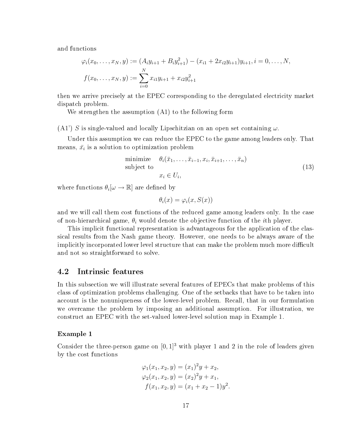and functions

$$
\varphi_i(x_0, \dots, x_N, y) := (A_i y_{i+1} + B_i y_{i+1}^2) - (x_{i1} + 2x_{i2} y_{i+1}) y_{i+1}, i = 0, \dots, N,
$$
  

$$
f(x_0, \dots, x_N, y) := \sum_{i=0}^N x_{i1} y_{i+1} + x_{i2} y_{i+1}^2
$$

then we arrive precisely at the EPEC corresponding to the deregulated electricity market dispatch problem.

We strengthen the assumption  $(A1)$  to the following form

 $(A1')$  S is single-valued and locally Lipschitzian on an open set containing  $\omega$ .

Under this assumption we can reduce the EPEC to the game among leaders only. That means,  $\bar{x}_i$  is a solution to optimization problem

minimize 
$$
\theta_i(\bar{x}_1, \dots, \bar{x}_{i-1}, x_i, \bar{x}_{i+1}, \dots, \bar{x}_n)
$$
  
subject to  
 $x_i \in U_i,$  (13)

where functions  $\theta_i[\omega \to \mathbb{R}]$  are defined by

$$
\theta_i(x) = \varphi_i(x, S(x))
$$

and we will call them cost functions of the reduced game among leaders only. In the case of non-hierarchical game,  $\theta_i$  would denote the objective function of the *i*th player.

This implicit functional representation is advantageous for the application of the classical results from the Nash game theory. However, one needs to be always aware of the implicitly incorporated lower level structure that can make the problem much more difficult and not so straightforward to solve.

#### 4.2 Intrinsic features

In this subsection we will illustrate several features of EPECs that make problems of this class of optimization problems challenging. One of the set backs that have to be taken into account is the nonuniqueness of the lower-level problem. Recall, that in our formulation we overcame the problem by imposing an additional assumption. For illustration, we construct an EPEC with the set-valued lower-level solution map in Example 1.

### Example 1

Consider the three-person game on  $[0,1]^3$  with player 1 and 2 in the role of leaders given by the cost functions

$$
\varphi_1(x_1, x_2, y) = (x_1)^2 y + x_2,
$$
  
\n
$$
\varphi_2(x_1, x_2, y) = (x_2)^2 y + x_1,
$$
  
\n
$$
f(x_1, x_2, y) = (x_1 + x_2 - 1)y^2
$$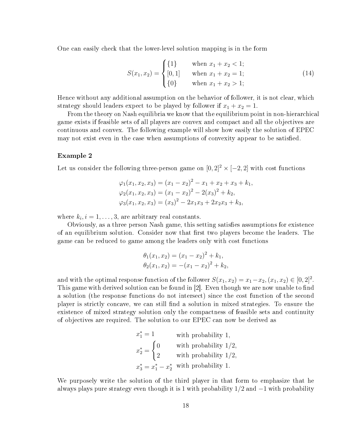One can easily check that the lower-level solution mapping is in the form

$$
S(x_1, x_2) = \begin{cases} \{1\} & \text{when } x_1 + x_2 < 1; \\ [0, 1] & \text{when } x_1 + x_2 = 1; \\ \{0\} & \text{when } x_1 + x_2 > 1; \end{cases} \tag{14}
$$

Hence without any additional assumption on the behavior of follower, it is not clear, which strategy should leaders expect to be played by follower if  $x_1 + x_2 = 1$ .

From the theory on Nash equilibria we know that the equilibrium point in non-hierarchical game exists if feasible sets of all players are convex and compact and all the objectives are continuous and convex. The following example will show how easily the solution of EPEC may not exist even in the case when assumptions of convexity appear to be satisfied.

### Example 2

Let us consider the following three-person game on  $[0,2]^2 \times [-2,2]$  with cost functions

$$
\varphi_1(x_1, x_2, x_3) = (x_1 - x_2)^2 - x_1 + x_2 + x_3 + k_1,
$$
  
\n
$$
\varphi_2(x_1, x_2, x_3) = (x_1 - x_2)^2 - 2(x_3)^2 + k_2,
$$
  
\n
$$
\varphi_3(x_1, x_2, x_3) = (x_3)^2 - 2x_1x_3 + 2x_2x_3 + k_3,
$$

where  $k_i$ ,  $i = 1, ..., 3$ , are arbitrary real constants.

Obviously, as a three person Nash game, this setting satisfies assumptions for existence of an equilibrium solution. Consider now that first two players become the leaders. The game can be reduced to game among the leaders only with cost functions

$$
\theta_1(x_1, x_2) = (x_1 - x_2)^2 + k_1, \n\theta_2(x_1, x_2) = -(x_1 - x_2)^2 + k_2,
$$

and with the optimal response function of the follower  $S(x_1, x_2) = x_1 - x_2, (x_1, x_2) \in [0, 2]^2$ . This game with derived solution can be found in [2]. Even though we are now unable to find a solution (the response functions do not intersect) since the cost function of the second player is strictly concave, we can still find a solution in mixed strategies. To ensure the existence of mixed strategy solution only the compactness of feasible sets and continuity of objectives are required. The solution to our EPEC can now be derived as

$$
x_1^* = 1
$$
 with probability 1,  

$$
x_2^* = \begin{cases} 0 & \text{with probability } 1/2, \\ 2 & \text{with probability } 1/2, \end{cases}
$$

$$
x_3^* = x_1^* - x_2^*
$$
 with probability 1.

We purposely write the solution of the third player in that form to emphasize that he always plays pure strategy even though it is 1 with probability  $1/2$  and  $-1$  with probability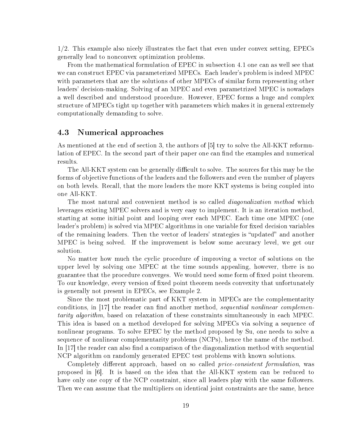$1/2$ . This example also nicely illustrates the fact that even under convex setting, EPECs generally lead to nonconvex optimization problems.

From the mathematical formulation of EPEC in subsection 4.1 one can as well see that we can construct EPEC via parameterized MPECs. Each leader's problem is indeed MPEC with parameters that are the solutions of other MPECs of similar form representing other leaders' decision-making. Solving of an MPEC and even parametrized MPEC is nowadays a well described and understood procedure. However, EPEC forms a huge and complex structure of MPECs tight up together with parameters which makes it in general extremely computationally demanding to solve.

#### 4.3 Numerical approaches

As mentioned at the end of section 3, the authors of [5] try to solve the All-KKT reformulation of EPEC. In the second part of their paper one can find the examples and numerical results.

The All-KKT system can be generally difficult to solve. The sources for this may be the forms of objective functions of the leaders and the followers and even the number of players on both levels. Recall, that the more leaders the more KKT systems is being coupled into one All-KKT.

The most natural and convenient method is so called *diagonalization method* which leverages existing MPEC solvers and is very easy to implement. It is an iteration method, starting at some initial point and looping over each MPEC. Each time one MPEC (one leader's problem) is solved via MPEC algorithms in one variable for fixed decision variables of the remaining leaders. Then the vector of leaders' strategies is "updated" and another MPEC is being solved. If the improvement is below some accuracy level, we get our solution.

No matter how much the cyclic procedure of improving a vector of solutions on the upper level by solving one MPEC at the time sounds appealing, however, there is no guarantee that the procedure converges. We would need some form of fixed point theorem. To our knowledge, every version of fixed point theorem needs convexity that unfortunately is generally not present in EPECs, see Example 2.

Since the most problematic part of KKT system in MPECs are the complementarity conditions, in [17] the reader can find another method, sequential nonlinear complemen*tarity algorithm*, based on relaxation of these constraints simultaneously in each MPEC. This idea is based on a method developed for solving MPECs via solving a sequence of nonlinear programs. To solve EPEC by the method proposed by Su, one needs to solve a sequence of nonlinear complementarity problems (NCPs), hence the name of the method. In [17] the reader can also find a comparison of the diagonalization method with sequential NCP algorithm on randomly generated EPEC test problems with known solutions.

Completely different approach, based on so called *price-consistent formulation*, was proposed in  $[6]$ . It is based on the idea that the All-KKT system can be reduced to have only one copy of the NCP constraint, since all leaders play with the same followers. Then we can assume that the multipliers on identical joint constraints are the same, hence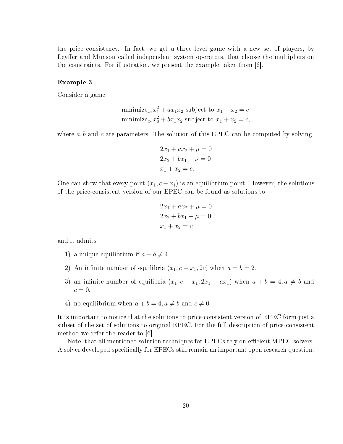the price consistency. In fact, we get a three level game with a new set of players, by Leyffer and Munson called independent system operators, that choose the multipliers on the constraints. For illustration, we present the example taken from [6].

### Example 3

Consider a game

$$
\text{minimize}_{x_1} x_1^2 + ax_1x_2 \text{ subject to } x_1 + x_2 = c
$$
\n
$$
\text{minimize}_{x_2} x_2^2 + bx_1x_2 \text{ subject to } x_1 + x_2 = c,
$$

where  $a, b$  and c are parameters. The solution of this EPEC can be computed by solving

$$
2x_1 + ax_2 + \mu = 0
$$
  

$$
2x_2 + bx_1 + \nu = 0
$$
  

$$
x_1 + x_2 = c.
$$

One can show that every point  $(x_1, c-x_1)$  is an equilibrium point. However, the solutions of the price-consistent version of our EPEC can be found as solutions to

$$
2x_1 + ax_2 + \mu = 0
$$
  

$$
2x_2 + bx_1 + \mu = 0
$$
  

$$
x_1 + x_2 = c
$$

and it admits

- 1) a unique equilibrium if  $a + b \neq 4$ .
- 2) An infinite number of equilibria  $(x_1, c x_1, 2c)$  when  $a = b = 2$ .
- 3) an infinite number of equilibria  $(x_1, c x_1, 2x_1 ax_1)$  when  $a + b = 4, a \neq b$  and  $c=0.$
- 4) no equilibrium when  $a + b = 4, a \neq b$  and  $c \neq 0$ .

It is important to notice that the solutions to price-consistent version of EPEC form just a subset of the set of solutions to original EPEC. For the full description of price-consistent method we refer the reader to [6].

Note, that all mentioned solution techniques for EPECs rely on efficient MPEC solvers. A solver developed specifically for EPECs still remain an important open research question.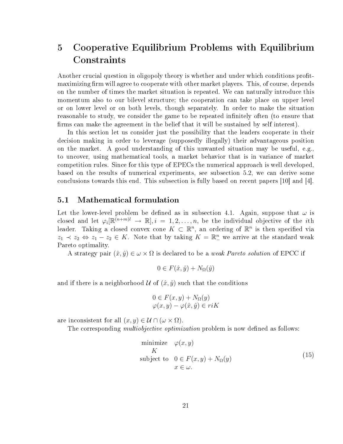### Cooperative Equilibrium Problems with Equilibrium  $\overline{5}$ Constraints

Another crucial question in oligopoly theory is whether and under which conditions profitmaximizing firm will agree to cooperate with other market players. This, of course, depends on the number of times the market situation is repeated. We can naturally introduce this momentum also to our bilevel structure; the cooperation can take place on upper level or on lower level or on both levels, though separately. In order to make the situation reasonable to study, we consider the game to be repeated infinitely often (to ensure that firms can make the agreement in the belief that it will be sustained by self interest).

In this section let us consider just the possibility that the leaders cooperate in their decision making in order to leverage (supposedly illegally) their advantageous position on the market. A good understanding of this unwanted situation may be useful, e.g., to uncover, using mathematical tools, a market behavior that is in variance of market competition rules. Since for this type of EPECs the numerical approach is well developed, based on the results of numerical experiments, see subsection 5.2, we can derive some conclusions towards this end. This subsection is fully based on recent papers  $|10|$  and  $|4|$ .

#### Mathematical formulation  $5.1$

Let the lower-level problem be defined as in subsection 4.1. Again, suppose that  $\omega$  is closed and let  $\varphi_i[\mathbb{R}^{(n+m)l} \to \mathbb{R}], i = 1, 2, ..., n$ , be the individual objective of the *i*th leader. Taking a closed convex cone  $K \subset \mathbb{R}^n$ , an ordering of  $\mathbb{R}^n$  is then specified via  $z_1 \prec z_2 \Leftrightarrow z_1 - z_2 \in K$ . Note that by taking  $K = \mathbb{R}^n$  we arrive at the standard weak Pareto optimality.

A strategy pair  $(\hat{x}, \hat{y}) \in \omega \times \Omega$  is declared to be a *weak Pareto solution* of EPCC if

$$
0 \in F(\hat{x}, \hat{y}) + N_{\Omega}(\hat{y})
$$

and if there is a neighborhood  $\mathcal U$  of  $(\hat x, \hat y)$  such that the conditions

$$
0 \in F(x, y) + N_{\Omega}(y)
$$
  

$$
\varphi(x, y) - \varphi(\hat{x}, \hat{y}) \in r i K
$$

are inconsistent for all  $(x, y) \in \mathcal{U} \cap (\omega \times \Omega)$ .

The corresponding *multiobjective optimization* problem is now defined as follows:

minimize 
$$
\varphi(x, y)
$$
  
\nK  
\nsubject to  $0 \in F(x, y) + N_{\Omega}(y)$   
\n $x \in \omega$ . (15)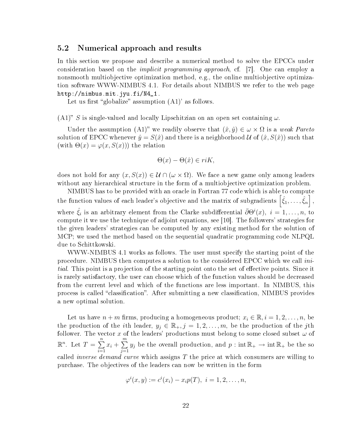#### $5.2$ Numerical approach and results

In this section we propose and describe a numerical method to solve the EPCCs under consideration based on the *implicit programming approach*, cf. [7]. One can employ a nonsmooth multiobjective optimization method, e.g., the online multiobjective optimization software WWW-NIMBUS 4.1. For details about NIMBUS we refer to the web page  $http://nimbus.mit.jyu.fi/M4_1.$ 

Let us first "globalize" assumption  $(A1)$ " as follows.

 $(A1)$ " S is single-valued and locally Lipschitzian on an open set containing  $\omega$ .

Under the assumption (A1)" we readily observe that  $(\hat{x}, \hat{y}) \in \omega \times \Omega$  is a weak Pareto solution of EPCC whenever  $\hat{y} = S(\hat{x})$  and there is a neighborhood U of  $(\hat{x}, S(\hat{x}))$  such that (with  $\Theta(x) = \varphi(x, S(x))$ ) the relation

$$
\Theta(x) - \Theta(\hat{x}) \in riK
$$

does not hold for any  $(x, S(x)) \in \mathcal{U} \cap (\omega \times \Omega)$ . We face a new game only among leaders without any hierarchical structure in the form of a multiobjective optimization problem.

NIMBUS has to be provided with an oracle in Fortran 77 code which is able to compute the function values of each leader's objective and the matrix of subgradients  $\left|\hat{\xi}_1,\ldots,\hat{\xi}_n\right|$ , where  $\xi_i$  is an arbitrary element from the Clarke subdifferential  $\partial \Theta^i(x)$ ,  $i=1,\ldots,n$ , to compute it we use the technique of adjoint equations, see [10]. The followers' strategies for the given leaders' strategies can be computed by any existing method for the solution of MCP; we used the method based on the sequential quadratic programming code NLPQL due to Schittkowski.

WWW-NIMBUS 4.1 works as follows. The user must specify the starting point of the procedure. NIMBUS then computes a solution to the considered EPCC which we call *initial.* This point is a projection of the starting point onto the set of effective points. Since it is rarely satisfactory, the user can choose which of the function values should be decreased from the current level and which of the functions are less important. In NIMBUS, this process is called "classification". After submitting a new classification, NIMBUS provides a new optimal solution.

Let us have  $n+m$  firms, producing a homogeneous product;  $x_i \in \mathbb{R}, i=1,2,\ldots,n$ , be the production of the *i*th leader,  $y_j \in \mathbb{R}_+, j = 1, 2, ..., m$ , be the production of the *j*th follower. The vector x of the leaders' productions must belong to some closed subset  $\omega$  of  $\mathbb{R}^n$ . Let  $T = \sum_{i=1}^n x_i + \sum_{j=1}^m y_j$  be the overall production, and  $p : \text{int } \mathbb{R}_+ \to \text{int } \mathbb{R}_+$  be the so called *inverse demand curve* which assigns T the price at which consumers are willing to purchase. The objectives of the leaders can now be written in the form

$$
\varphi^{i}(x, y) := c^{i}(x_{i}) - x_{i}p(T), \ i = 1, 2, \ldots, n,
$$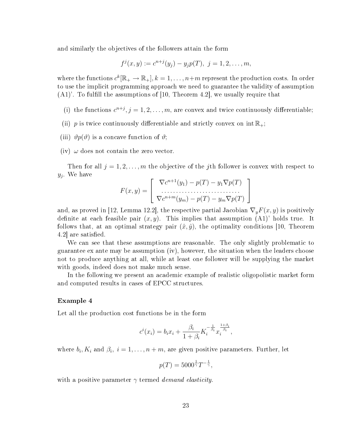and similarly the objectives of the followers attain the form

$$
f^{j}(x, y) := c^{n+j}(y_{j}) - y_{j}p(T), \ j = 1, 2, \ldots, m,
$$

where the functions  $c^k[\mathbb{R}_+ \to \mathbb{R}_+]$ ,  $k = 1, \ldots, n+m$  represent the production costs. In order to use the implicit programming approach we need to guarantee the validity of assumption  $(A1)$ . To fulfill the assumptions of [10, Theorem 4.2], we usually require that

- (i) the functions  $c^{n+j}$ ,  $j = 1, 2, ..., m$ , are convex and twice continuously differentiable;
- (ii) p is twice continuously differentiable and strictly convex on  $\text{int} \mathbb{R}_+$ :
- (iii)  $\vartheta p(\vartheta)$  is a concave function of  $\vartheta$ ;
- (iv)  $\omega$  does not contain the zero vector.

Then for all  $j = 1, 2, ..., m$  the objective of the jth follower is convex with respect to  $y_i$ . We have

$$
F(x,y) = \begin{bmatrix} \nabla c^{n+1}(y_1) - p(T) - y_1 \nabla p(T) \\ \n\vdots \\ \nabla c^{n+m}(y_m) - p(T) - y_m \nabla p(T) \end{bmatrix}
$$

and, as proved in [12, Lemma 12.2], the respective partial Jacobian  $\nabla_y F(x, y)$  is positively definite at each feasible pair  $(x, y)$ . This implies that assumption  $(A1)$  holds true. It follows that, at an optimal strategy pair  $(\hat{x}, \hat{y})$ , the optimality conditions [10, Theorem 4.2 are satisfied.

We can see that these assumptions are reasonable. The only slightly problematic to guarantee ex ante may be assumption (iv), however, the situation when the leaders choose not to produce anything at all, while at least one follower will be supplying the market with goods, indeed does not make much sense.

In the following we present an academic example of realistic oligopolistic market form and computed results in cases of EPCC structures.

### Example 4

Let all the production cost functions be in the form

$$
c^{i}(x_{i}) = b_{i}x_{i} + \frac{\beta_{i}}{1+\beta_{i}}K_{i}^{-\frac{1}{\beta_{i}}}x_{i}^{\frac{1+\beta_{i}}{\beta_{i}}},
$$

where  $b_i, K_i$  and  $\beta_i, i = 1, ..., n + m$ , are given positive parameters. Further, let

$$
p(T) = 5000^{\frac{1}{\gamma}}T^{-\frac{1}{\gamma}},
$$

with a positive parameter  $\gamma$  termed *demand elasticity*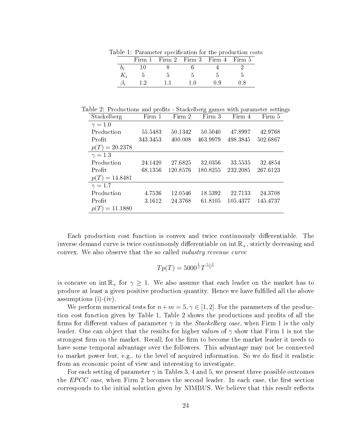Table 1: Parameter specification for the production costs

| Firm 1 |  | Firm 2 Firm 3 Firm 4 Firm 5 |  |
|--------|--|-----------------------------|--|
|        |  |                             |  |
|        |  |                             |  |
|        |  | ιu                          |  |

|  |  | Table 2: Productions and profits - Stackelberg games with parameter settings |  |  |  |  |  |
|--|--|------------------------------------------------------------------------------|--|--|--|--|--|
|  |  |                                                                              |  |  |  |  |  |

| Stackelberg      | Firm 1   | Firm 2   | Firm 3   | Firm 4   | Firm 5   |
|------------------|----------|----------|----------|----------|----------|
| $\gamma = 1.0$   |          |          |          |          |          |
| Production       | 55.5483  | 50.1342  | 50.5040  | 47.8997  | 42.9768  |
| Profit           | 343.3453 | 400.008  | 463.9979 | 498.3845 | 502.6867 |
| $p(T) = 20.2378$ |          |          |          |          |          |
| $\gamma=1.3$     |          |          |          |          |          |
| Production       | 24.1420  | 27.6825  | 32.0356  | 33.5535  | 32.4854  |
| Profit           | 68 1356  | 120.8576 | 180.8255 | 232.2085 | 267.6123 |
| $p(T) = 14.8481$ |          |          |          |          |          |
| $\gamma=1.7$     |          |          |          |          |          |
| Production       | 4.7536   | 12.0546  | 18.5392  | 22.7133  | 24.3708  |
| Profit           | 3.1612   | 24.3768  | 61.8105  | 105.4377 | 145.4737 |
| $p(T) = 11.1880$ |          |          |          |          |          |

Each production cost function is convex and twice continuously differentiable. The inverse demand curve is twice continuously differentiable on  $\text{int} \mathbb{R}_+$ , strictly decreasing and convex. We also observe that the so called *industry revenue curve* 

$$
Tp(T) = 5000^{\frac{1}{\gamma}}T^{\frac{\gamma - 1}{\gamma}}
$$

is concave on int  $\mathbb{R}_+$  for  $\gamma \geq 1$ . We also assume that each leader on the market has to produce at least a given positive production quantity. Hence we have fulfilled all the above assumptions  $(i)$ - $(iv)$ .

We perform numerical tests for  $n+m=5, \gamma \in [1,2]$ . For the parameters of the production cost function given by Table 1, Table 2 shows the productions and profits of all the firms for different values of parameter  $\gamma$  in the *Stackelberg case*, when Firm 1 is the only leader. One can object that the results for higher values of  $\gamma$  show that Firm 1 is not the strongest firm on the market. Recall, for the firm to become the market leader it needs to have some temporal advantage over the followers. This advantage may not be connected to market power but, e.g., to the level of acquired information. So we do find it realistic from an economic point of view and interesting to investigate.

For each setting of parameter  $\gamma$  in Tables 3, 4 and 5, we present three possible outcomes the *EPCC* case, when Firm 2 becomes the second leader. In each case, the first section corresponds to the initial solution given by NIMBUS. We believe that this result reflects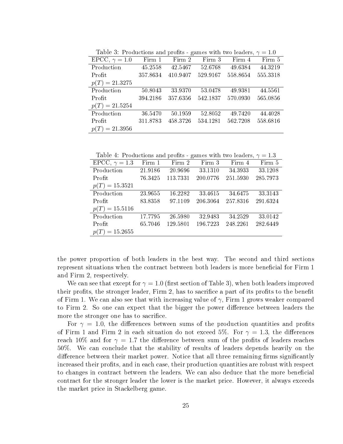| Lable 9. I found flore and profits - games with two readers, y |          |          |          |          | $-1.0$   |
|----------------------------------------------------------------|----------|----------|----------|----------|----------|
| EPCC, $\gamma = 1.0$                                           | Firm 1   | Firm 2   | Firm 3   | Firm 4   | Firm 5   |
| Production                                                     | 45.2558  | 42.5467  | 52.6768  | 49.6384  | 44 3219  |
| Profit                                                         | 357.8634 | 410.9407 | 529.9167 | 558.8654 | 555.3318 |
| $p(T) = 21.3275$                                               |          |          |          |          |          |
| Production                                                     | 50.8043  | 33.9370  | 53.0478  | 49.9381  | 44.5561  |
| Profit                                                         | 394.2186 | 357.6356 | 542.1837 | 570.0930 | 565.0856 |
| $p(T) = 21.5254$                                               |          |          |          |          |          |
| Production                                                     | 36.5470  | 50.1959  | 52.8052  | 49.7420  | 44.4028  |
| Profit                                                         | 311.8783 | 458.3726 | 534.1281 | 562.7208 | 558.6816 |
| $p(T) = 21.3956$                                               |          |          |          |          |          |

Table 3: Productions and profits - games with two leaders  $\gamma = 1.0$ 

Table 4: Productions and profits - games with two leaders,  $\gamma = 1.3$ 

| EPCC, $\gamma = 1.3$ | Firm 1  | Firm 2   | Firm 3   | Firm 4   | Firm 5     |
|----------------------|---------|----------|----------|----------|------------|
| Production           | 21.9186 | 20.9696  | 33.1310  | 34.3933  | 33.1208    |
| Profit               | 76.3425 | 113.7331 | 200.0776 | 251.5930 | 285.7973   |
| $p(T) = 15.3521$     |         |          |          |          |            |
| Production           | 23.9655 | 16.2282  | 33.4615  | 34.6475  | 33 3 1 4 3 |
| Profit               | 83.8358 | 97.1109  | 206.3064 | 257.8316 | 291.6324   |
| $p(T) = 15.5116$     |         |          |          |          |            |
| Production           | 17.7795 | 26.5980  | 32.9483  | 34.2529  | 33.0142    |
| Profit               | 65.7046 | 129.5801 | 196.7223 | 248.2261 | 282.6449   |
| $p(T) = 15.2655$     |         |          |          |          |            |

the power proportion of both leaders in the best way. The second and third sections represent situations when the contract between both leaders is more beneficial for Firm 1 and Firm 2, respectively.

We can see that except for  $\gamma = 1.0$  (first section of Table 3), when both leaders improved their profits, the stronger leader, Firm 2, has to sacrifice a part of its profits to the benefit of Firm 1. We can also see that with increasing value of  $\gamma$ . Firm 1 grows weaker compared to Firm 2. So one can expect that the bigger the power difference between leaders the more the stronger one has to sacrifice.

For  $\gamma = 1.0$ , the differences between sums of the production quantities and profits of Firm 1 and Firm 2 in each situation do not exceed 5%. For  $\gamma = 1.3$ , the differences reach 10% and for  $\gamma = 1.7$  the difference between sum of the profits of leaders reaches 50%. We can conclude that the stability of results of leaders depends heavily on the difference between their market power. Notice that all three remaining firms significantly increased their profits, and in each case, their production quantities are robust with respect to changes in contract between the leaders. We can also deduce that the more beneficial contract for the stronger leader the lower is the market price. However, it always exceeds the market price in Stackelberg game.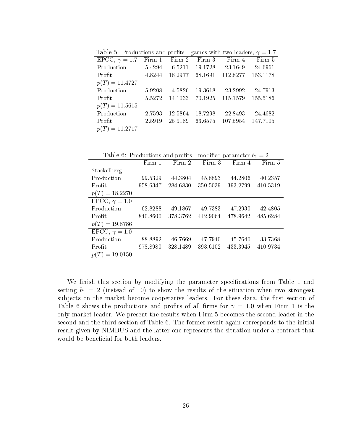| <b>Table 0.</b> Productions and profits - games with two leaders, $\gamma = 1.7$ |        |         |                |          |          |  |  |  |
|----------------------------------------------------------------------------------|--------|---------|----------------|----------|----------|--|--|--|
| EPCC, $\gamma = 1.7$ Firm 1 Firm 2 Firm 3                                        |        |         |                | Firm 4   | Firm 5   |  |  |  |
| Production                                                                       | 5.4294 |         | 6.5211 19.1728 | 23.1649  | 24.6961  |  |  |  |
| Profit                                                                           | 4.8244 | 18.2977 | 68.1691        | 112.8277 | 153.1178 |  |  |  |
| $p(T) = 11.4727$                                                                 |        |         |                |          |          |  |  |  |
| Production                                                                       | 5.9208 | 4.5826  | 19.3618        | 23.2992  | 24.7913  |  |  |  |
| Profit                                                                           | 5.5272 | 14.1033 | 70.1925        | 115.1579 | 155 5186 |  |  |  |
| $p(T) = 11.5615$                                                                 |        |         |                |          |          |  |  |  |
| Production                                                                       | 2.7593 | 12.5864 | 18.7298        | 22.8493  | 24.4682  |  |  |  |
| Profit                                                                           | 2.5919 | 25.9189 | 63.6575        | 107.5954 | 147.7105 |  |  |  |
| $p(T) = 11.2717$                                                                 |        |         |                |          |          |  |  |  |

Table 5: Productions and profits - games with two leaders  $\gamma = 1.7$ 

Table 6: Productions and profits - modified parameter  $b_1 = 2$ 

|                      | Firm 1   | Firm 2   | Firm 3   | Firm 4   | Firm 5   |
|----------------------|----------|----------|----------|----------|----------|
| Stackelberg          |          |          |          |          |          |
| Production           | 99 5329  | 44.3804  | 45.8893  | 44.2806  | 40.2357  |
| Profit               | 958.6347 | 284.6830 | 350.5039 | 393.2799 | 410.5319 |
| $p(T) = 18.2270$     |          |          |          |          |          |
| EPCC, $\gamma = 1.0$ |          |          |          |          |          |
| Production           | 62.8288  | 49.1867  | 49.7383  | 47.2930  | 42.4805  |
| Profit               | 840.8600 | 378.3762 | 442.9064 | 478.9642 | 485.6284 |
| $p(T) = 19.8786$     |          |          |          |          |          |
| EPCC, $\gamma = 1.0$ |          |          |          |          |          |
| Production           | 88.8892  | 46.7669  | 47.7940  | 45.7640  | 33.7368  |
| Profit               | 978.8980 | 328.1489 | 393 6102 | 433.3945 | 410.9734 |
| $p(T) = 19.0150$     |          |          |          |          |          |

We finish this section by modifying the parameter specifications from Table 1 and setting  $b_1 = 2$  (instead of 10) to show the results of the situation when two strongest subjects on the market become cooperative leaders. For these data, the first section of Table 6 shows the productions and profits of all firms for  $\gamma = 1.0$  when Firm 1 is the only market leader. We present the results when Firm 5 becomes the second leader in the second and the third section of Table 6. The former result again corresponds to the initial result given by NIMBUS and the latter one represents the situation under a contract that would be beneficial for both leaders.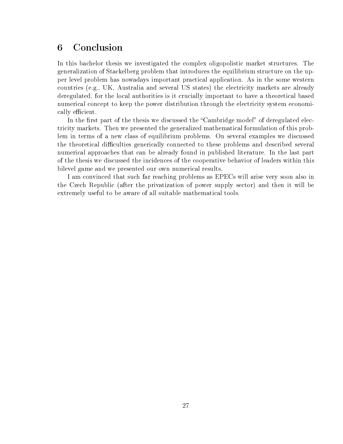### 6 Conclusion

In this bachelor thesis we investigated the complex oligopolistic market structures. The generalization of Stackelberg problem that introduces the equilibrium structure on the upper level problem has nowadays important practical application. As in the some western countries (e.g., UK, Australia and several US states) the electricity markets are already deregulated, for the local authorities is it crucially important to have a theoretical based numerical concept to keep the power distribution through the electricity system economically efficient.

In the first part of the thesis we discussed the "Cambridge model" of deregulated electricity markets. Then we presented the generalized mathematical formulation of this problem in terms of a new class of equilibrium problems. On several examples we discussed the theoretical difficulties generically connected to these problems and described several numerical approaches that can be already found in published literature. In the last part of the thesis we discussed the incidences of the cooperative behavior of leaders within this bilevel game and we presented our own numerical results.

I am convinced that such far reaching problems as EPECs will arise very soon also in the Czech Republic (after the privatization of power supply sector) and then it will be extremely useful to be aware of all suitable mathematical tools.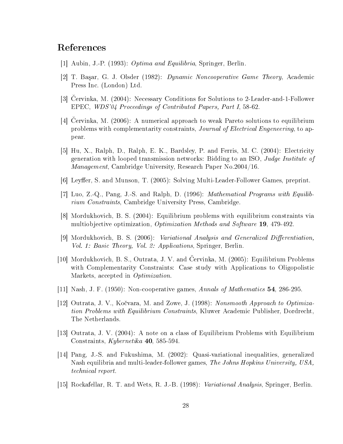## References

- [1] Aubin, J.-P. (1993): *Optima and Equilibria*, Springer, Berlin.
- [2] T. Başar, G. J. Olsder (1982): Dynamic Noncooperative Game Theory, Academic Press Inc. (London) Ltd.
- [3] Cervinka, M. (2004): Necessary Conditions for Solutions to 2-Leader-and-1-Follower EPEC, WDS'04 Proceedings of Contributed Papers, Part I, 58-62.
- [4] Cervinka, M. (2006): A numerical approach to weak Pareto solutions to equilibrium problems with complementarity constraints, *Journal of Electrical Engeneering*, to appear.
- [5] Hu, X., Ralph, D., Ralph, E. K., Bardsley, P. and Ferris, M. C. (2004): Electricity generation with looped transmission networks: Bidding to an ISO, Judge Institute of *Management*, Cambridge University, Research Paper No. 2004/16.
- [6] Levffer, S. and Munson, T. (2005): Solving Multi-Leader-Follower Games, preprint.
- [7] Luo, Z.-Q., Pang, J.-S. and Ralph, D. (1996): Mathematical Programs with Equilib*rium Constraints*, Cambridge University Press, Cambridge.
- [8] Mordukhovich, B. S. (2004): Equilibrium problems with equilibrium constraints via multiobjective optimization, *Optimization Methods and Software* 19, 479-492.
- [9] Mordukhovich, B. S. (2006): Variational Analysis and Generalized Differentiation, *Vol. 1: Basic Theory, Vol. 2: Applications, Springer, Berlin.*
- [10] Mordukhovich, B. S., Outrata, J. V. and Cervinka, M. (2005): Equilibrium Problems with Complementarity Constraints: Case study with Applications to Oligopolistic Markets, accepted in *Optimization*.
- [11] Nash, J. F. (1950): Non-cooperative games, Annals of Mathematics  $54$ , 286-295.
- [12] Outrata, J. V., Kočvara, M. and Zowe, J. (1998): Nonsmooth Approach to Optimization Problems with Equilibrium Constraints, Kluwer Academic Publisher, Dordrecht, The Netherlands.
- [13] Outrata, J. V. (2004): A note on a class of Equilibrium Problems with Equilibrium Constraints, Kybernetika 40, 585-594.
- [14] Pang, J.-S. and Fukushima, M. (2002): Quasi-variational inequalities, generalized Nash equilibria and multi-leader-follower games, The Johns Hopkins University, USA, technical report.
- [15] Rockafellar, R. T. and Wets, R. J.-B. (1998): Variational Analysis, Springer, Berlin.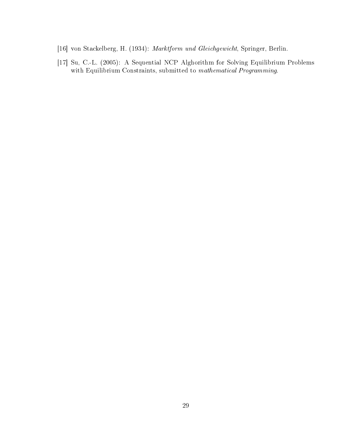- [16] von Stackelberg, H. (1934): Marktform und Gleichgewicht, Springer, Berlin.
- [17] Su, C.-L. (2005): A Sequential NCP Alghorithm for Solving Equilibrium Problems with Equilibrium Constraints, submitted to mathematical Programming.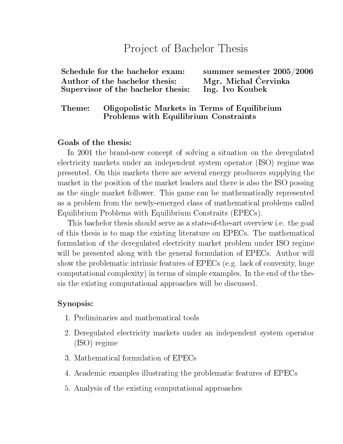## Project of Bachelor Thesis

Schedule for the bachelor exam:  $\,$ summer $\,$ seme $\,$ ster $\,$  2005/2006 $\,$ Mgr. Michal Červinka Author of the bachelor thesis: Supervisor of the bachelor thesis: Ing. Ivo Koubek

### Theme: Oligopolistic Markets in Terms of Equilibrium Problems with Equilibrium Constraints

## Goals of the thesis:

In 2001 the brand-new concept of solving a situation on the deregulated electricity markets under an independent system operator (ISO) regime was presented. On this markets there are several energy producers supplying the market in the position of the market leaders and there is also the ISO possing as the single market follower. This game can be mathematically represented as a problem from the newly-emerged class of mathematical problems called Equilibrium Problems with Equilibrium Constraits (EPECs).

This bachelor thesis should serve as a state-of-the-art overview i.e. the goal of this thesis is to map the existing literature on EPECs. The mathematical formulation of the deregulated electricity market problem under ISO regime will be presented along with the general formulation of EPECs. Author will show the problematic intrinsic features of EPECs (e.g. lack of convexity, huge computational complexity) in terms of simple examples. In the end of the thesis the existing computational approaches will be discussed.

### Synopsis:

- 1. Preliminaries and mathematical tools
- 2. Deregulated electricity markets under an independent system operator  $(ISO)$  regime
- 3. Mathematical formulation of EPECs
- 4. Academic examples illustrating the problematic features of EPECs
- 5. Analysis of the existing computational approaches